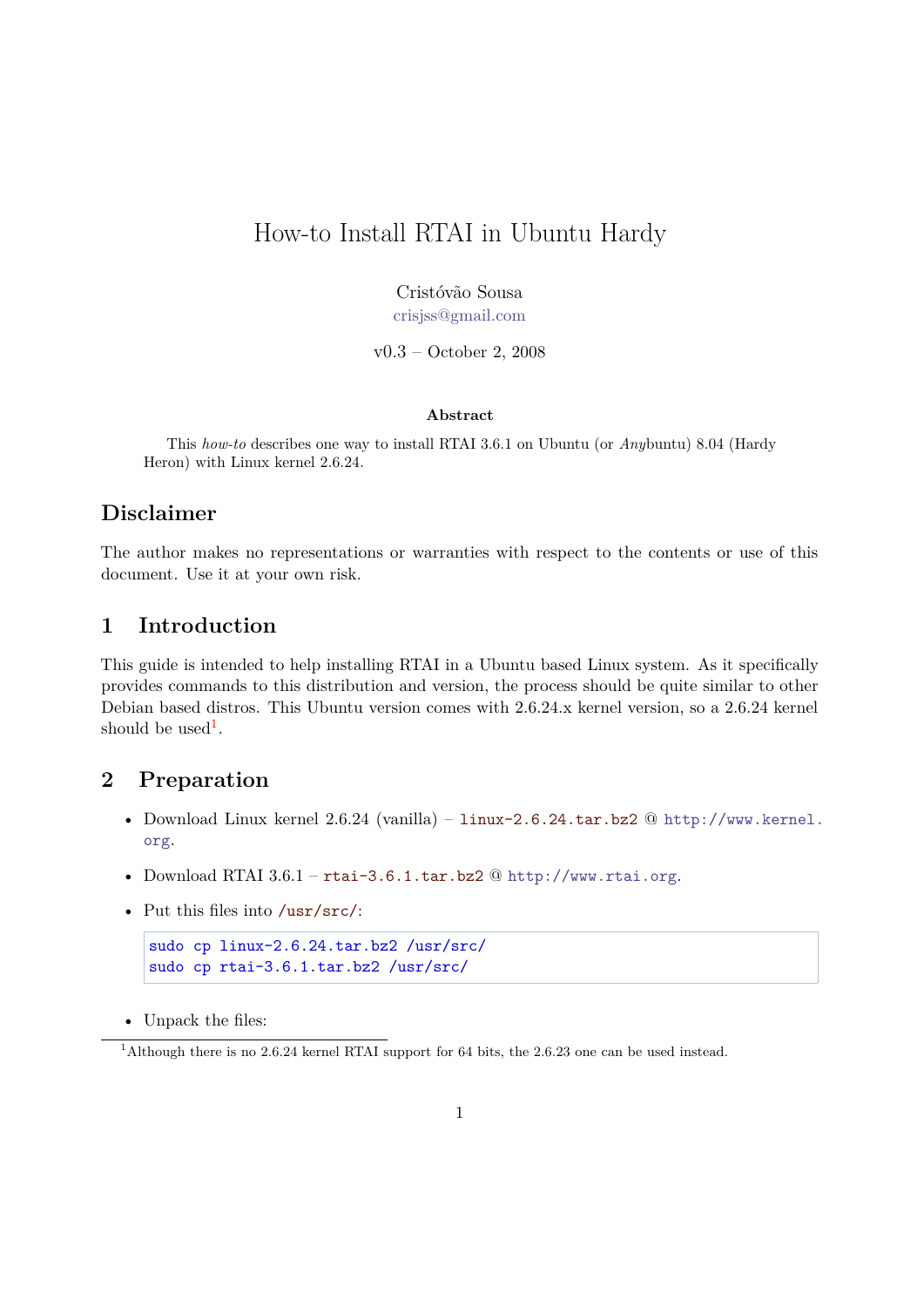# How-to Install RTAI in Ubuntu Hardy

Cristóvão Sousa [crisjss@gmail.com](mailto:crisjss@gmail.com)

v0.3 – October 2, 2008

#### **Abstract**

This *how-to* describes one way to install RTAI 3.6.1 on Ubuntu (or *Any*buntu) 8.04 (Hardy Heron) with Linux kernel 2.6.24.

#### **Disclaimer**

The author makes no representations or warranties with respect to the contents or use of this document. Use it at your own risk.

#### **1 Introduction**

This guide is intended to help installing RTAI in a Ubuntu based Linux system. As it specifically provides commands to this distribution and version, the process should be quite similar to other Debian based distros. This Ubuntu version comes with 2.6.24.x kernel version, so a 2.6.24 kernel should be used<sup>[1](#page-0-0)</sup>.

## **2 Preparation**

- Download Linux kernel 2.6.24 (vanilla) linux-2.6.24.tar.bz2 @ [http://www.kernel.](http://www.kernel.org) [org](http://www.kernel.org).
- Download RTAI 3.6.1 rtai-3.6.1.tar.bz2 @ <http://www.rtai.org>.
- Put this files into /usr/src/:

```
sudo cp linux-2.6.24.tar.bz2 /usr/src/
sudo cp rtai-3.6.1.tar.bz2 /usr/src/
```
• Unpack the files:

<span id="page-0-0"></span><sup>&</sup>lt;sup>1</sup>Although there is no 2.6.24 kernel RTAI support for 64 bits, the 2.6.23 one can be used instead.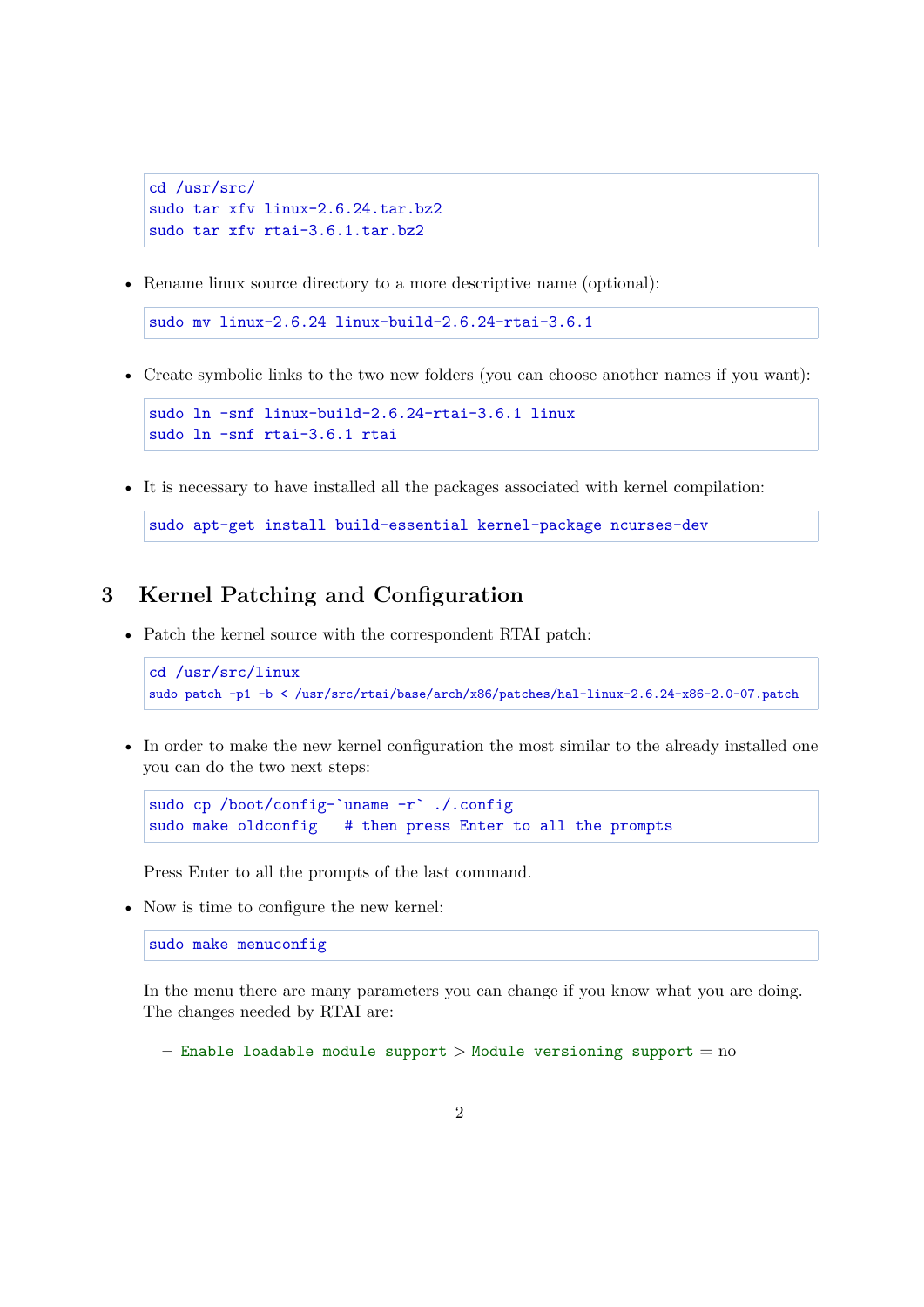```
cd /usr/src/
sudo tar xfv linux-2.6.24.tar.bz2
sudo tar xfv rtai-3.6.1.tar.bz2
```
• Rename linux source directory to a more descriptive name (optional):

```
sudo mv linux-2.6.24 linux-build-2.6.24-rtai-3.6.1
```
• Create symbolic links to the two new folders (you can choose another names if you want):

```
sudo ln -snf linux-build-2.6.24-rtai-3.6.1 linux
sudo ln -snf rtai-3.6.1 rtai
```
• It is necessary to have installed all the packages associated with kernel compilation:

```
sudo apt-get install build-essential kernel-package ncurses-dev
```
# **3 Kernel Patching and Configuration**

• Patch the kernel source with the correspondent RTAI patch:

```
cd /usr/src/linux
sudo patch -p1 -b < /usr/src/rtai/base/arch/x86/patches/hal-linux-2.6.24-x86-2.0-07.patch
```
• In order to make the new kernel configuration the most similar to the already installed one you can do the two next steps:

```
sudo cp /boot/config-`uname -r` ./.config
sudo make oldconfig # then press Enter to all the prompts
```
Press Enter to all the prompts of the last command.

• Now is time to configure the new kernel:

sudo make menuconfig

In the menu there are many parameters you can change if you know what you are doing. The changes needed by RTAI are:

**–** Enable loadable module support > Module versioning support = no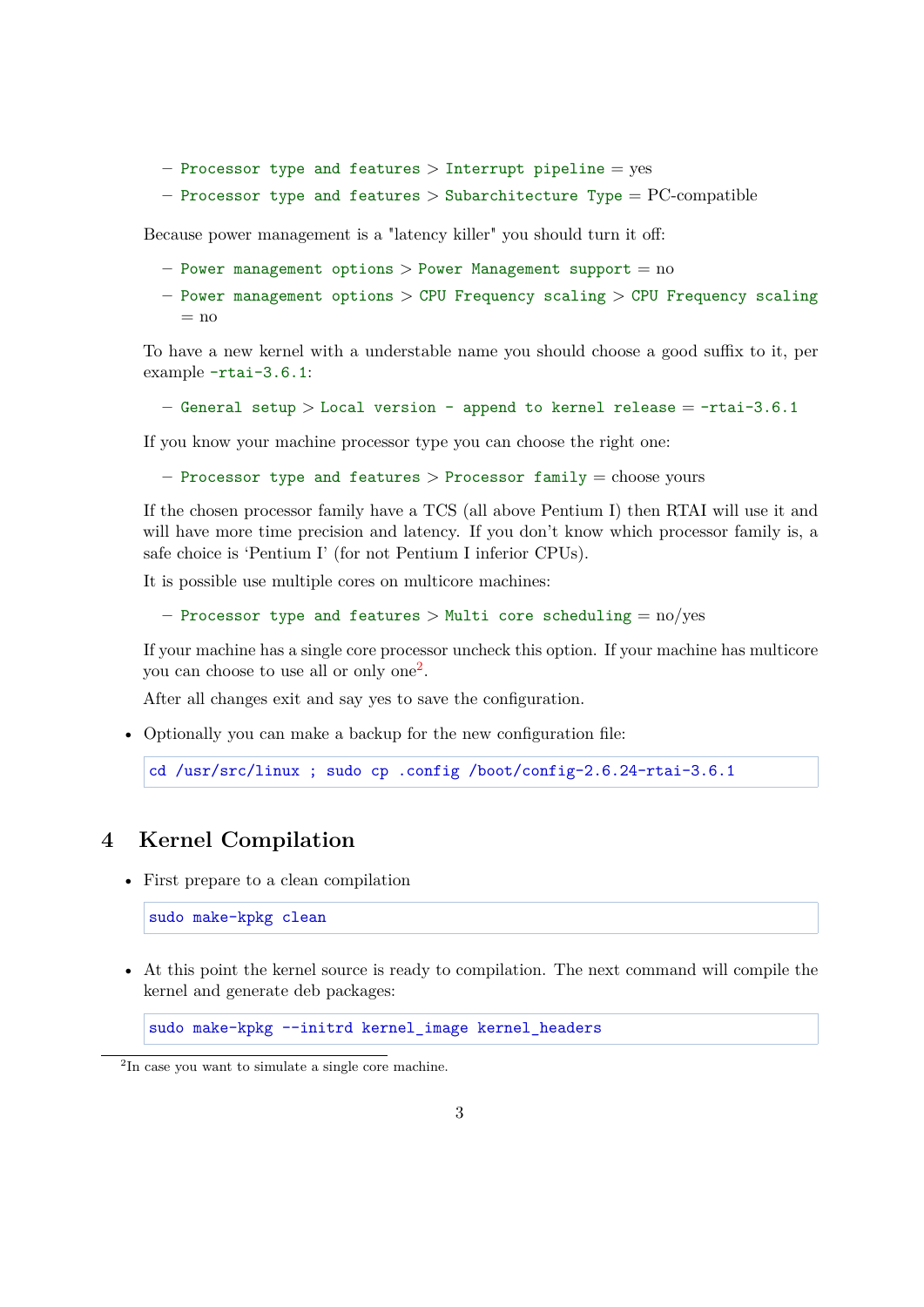- **–** Processor type and features > Interrupt pipeline = yes
- **–** Processor type and features > Subarchitecture Type = PC-compatible

Because power management is a "latency killer" you should turn it off:

- **–** Power management options > Power Management support = no
- **–** Power management options > CPU Frequency scaling > CPU Frequency scaling  $=$  no

To have a new kernel with a understable name you should choose a good suffix to it, per example -rtai-3.6.1:

```
– General setup > Local version - append to kernel release = -rtai-3.6.1
```
If you know your machine processor type you can choose the right one:

**–** Processor type and features > Processor family = choose yours

If the chosen processor family have a TCS (all above Pentium I) then RTAI will use it and will have more time precision and latency. If you don't know which processor family is, a safe choice is 'Pentium I' (for not Pentium I inferior CPUs).

It is possible use multiple cores on multicore machines:

```
– Processor type and features > Multi core scheduling = no/yes
```
If your machine has a single core processor uncheck this option. If your machine has multicore you can choose to use all or only one<sup>[2](#page-2-0)</sup>.

After all changes exit and say yes to save the configuration.

• Optionally you can make a backup for the new configuration file:

```
cd /usr/src/linux ; sudo cp .config /boot/config-2.6.24-rtai-3.6.1
```
# **4 Kernel Compilation**

• First prepare to a clean compilation

sudo make-kpkg clean

• At this point the kernel source is ready to compilation. The next command will compile the kernel and generate deb packages:

```
sudo make-kpkg --initrd kernel_image kernel_headers
```
<span id="page-2-0"></span><sup>&</sup>lt;sup>2</sup>In case you want to simulate a single core machine.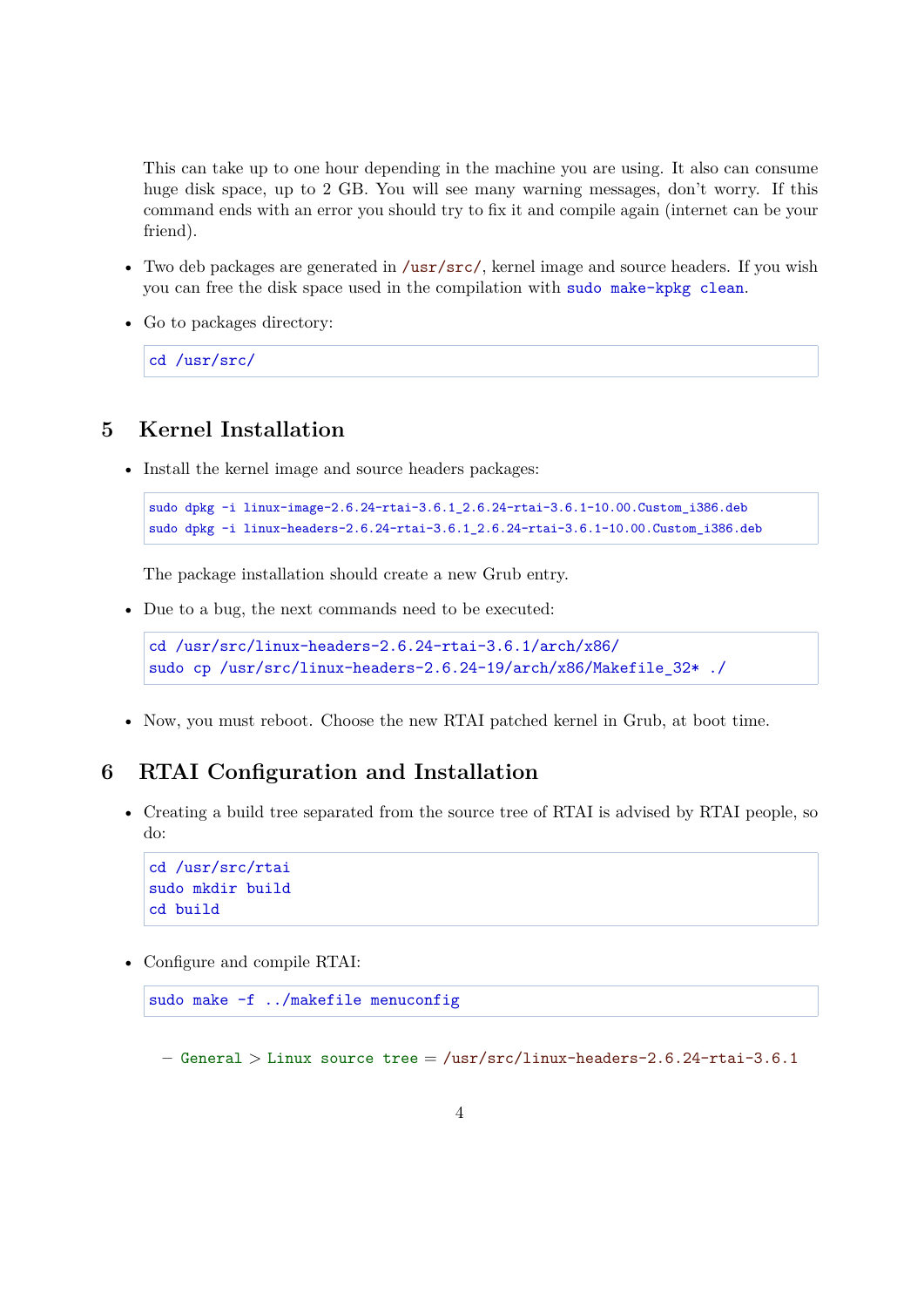This can take up to one hour depending in the machine you are using. It also can consume huge disk space, up to 2 GB. You will see many warning messages, don't worry. If this command ends with an error you should try to fix it and compile again (internet can be your friend).

- Two deb packages are generated in /usr/src/, kernel image and source headers. If you wish you can free the disk space used in the compilation with sudo make-kpkg clean.
- Go to packages directory:

cd /usr/src/

# **5 Kernel Installation**

• Install the kernel image and source headers packages:

```
sudo dpkg -i linux-image-2.6.24-rtai-3.6.1_2.6.24-rtai-3.6.1-10.00.Custom_i386.deb
sudo dpkg -i linux-headers-2.6.24-rtai-3.6.1_2.6.24-rtai-3.6.1-10.00.Custom_i386.deb
```
The package installation should create a new Grub entry.

• Due to a bug, the next commands need to be executed:

```
cd /usr/src/linux-headers-2.6.24-rtai-3.6.1/arch/x86/
sudo cp /usr/src/linux-headers-2.6.24-19/arch/x86/Makefile_32* ./
```
• Now, you must reboot. Choose the new RTAI patched kernel in Grub, at boot time.

## **6 RTAI Configuration and Installation**

• Creating a build tree separated from the source tree of RTAI is advised by RTAI people, so do:

```
cd /usr/src/rtai
sudo mkdir build
cd build
```
• Configure and compile RTAI:

```
sudo make -f ../makefile menuconfig
```
**–** General > Linux source tree = /usr/src/linux-headers-2.6.24-rtai-3.6.1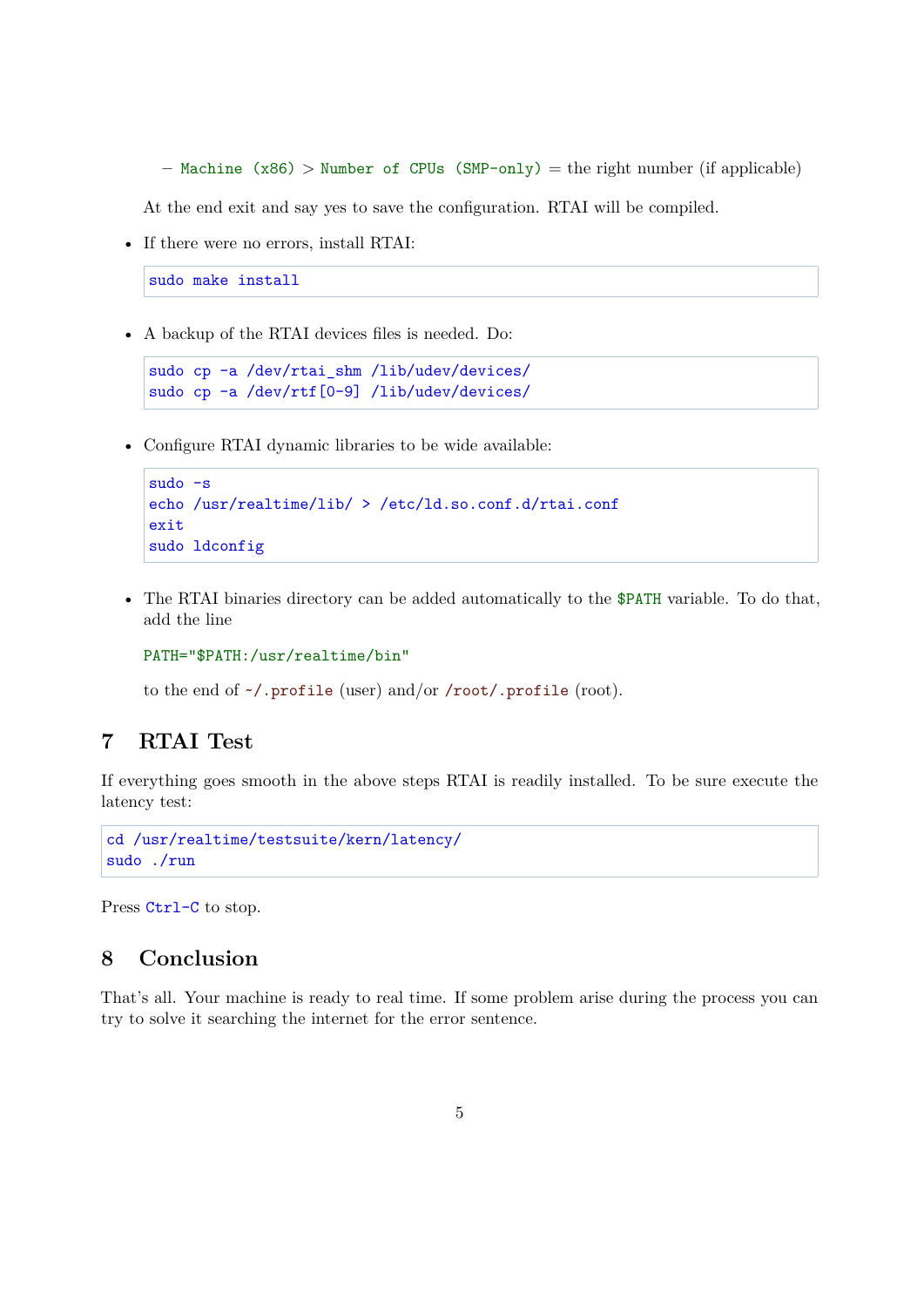**–** Machine (x86) > Number of CPUs (SMP-only) = the right number (if applicable)

At the end exit and say yes to save the configuration. RTAI will be compiled.

• If there were no errors, install RTAI:

sudo make install

• A backup of the RTAI devices files is needed. Do:

```
sudo cp -a /dev/rtai shm /lib/udev/devices/
sudo cp -a /dev/rtf[0-9] /lib/udev/devices/
```
• Configure RTAI dynamic libraries to be wide available:

```
sudo -s
echo /usr/realtime/lib/ > /etc/ld.so.conf.d/rtai.conf
exit
sudo ldconfig
```
• The RTAI binaries directory can be added automatically to the \$PATH variable. To do that, add the line

PATH="\$PATH:/usr/realtime/bin"

to the end of ~/.profile (user) and/or /root/.profile (root).

# **7 RTAI Test**

If everything goes smooth in the above steps RTAI is readily installed. To be sure execute the latency test:

cd /usr/realtime/testsuite/kern/latency/ sudo ./run

Press Ctrl-C to stop.

#### **8 Conclusion**

That's all. Your machine is ready to real time. If some problem arise during the process you can try to solve it searching the internet for the error sentence.